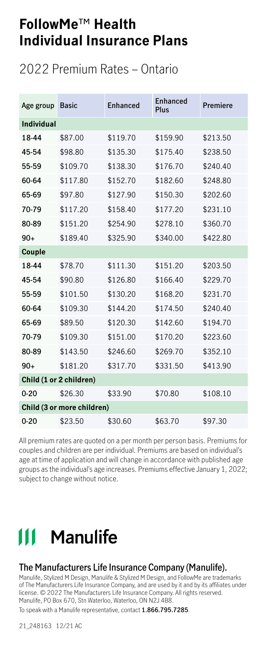### 2022 Premium Rates – Ontario

| Age group         | <b>Basic</b>               | <b>Fnhanced</b> | Enhanced<br>Plus | Premiere |
|-------------------|----------------------------|-----------------|------------------|----------|
| <b>Individual</b> |                            |                 |                  |          |
| 18-44             | \$87.00                    | \$119.70        | \$159.90         | \$213.50 |
| 45-54             | \$98.80                    | \$135.30        | \$175.40         | \$238.50 |
| 55-59             | \$109.70                   | \$138.30        | \$176.70         | \$240.40 |
| 60-64             | \$117.80                   | \$152.70        | \$182.60         | \$248.80 |
| 65-69             | \$97.80                    | \$127.90        | \$150.30         | \$202.60 |
| 70-79             | \$117.20                   | \$158.40        | \$177.20         | \$231.10 |
| 80-89             | \$151.20                   | \$254.90        | \$278.10         | \$360.70 |
| $90+$             | \$189.40                   | \$325.90        | \$340.00         | \$422.80 |
| Couple            |                            |                 |                  |          |
| 18-44             | \$78.70                    | \$111.30        | \$151.20         | \$203.50 |
| 45-54             | \$90.80                    | \$126.80        | \$166.40         | \$229.70 |
| 55-59             | \$101.50                   | \$130.20        | \$168.20         | \$231.70 |
| 60-64             | \$109.30                   | \$144.20        | \$174.50         | \$240.40 |
| 65-69             | \$89.50                    | \$120.30        | \$142.60         | \$194.70 |
| 70-79             | \$109.30                   | \$151.00        | \$170.20         | \$223.60 |
| 80-89             | \$143.50                   | \$246.60        | \$269.70         | \$352.10 |
| $90+$             | \$181.20                   | \$317.70        | \$331.50         | \$413.90 |
|                   | Child (1 or 2 children)    |                 |                  |          |
| $0 - 20$          | \$26.30                    | \$33.90         | \$70.80          | \$108.10 |
|                   | Child (3 or more children) |                 |                  |          |
| $0 - 20$          | \$23.50                    | \$30.60         | \$63.70          | \$97.30  |

All premium rates are quoted on a per month per person basis. Premiums for couples and children are per individual. Premiums are based on individual's age at time of application and will change in accordance with published age groups as the individual's age increases. Premiums effective January 1, 2022; subject to change without notice.

# **111 Manulife**

#### **The Manufacturers Life Insurance Company (Manulife).**

Manulife, Stylized M Design, Manulife & Stylized M Design, and FollowMe are trademarks of The Manufacturers Life Insurance Company, and are used by it and by its affiliates under license. © 2022 The Manufacturers Life Insurance Company. All rights reserved. Manulife, PO Box 670, Stn Waterloo, Waterloo, ON N2J 4B8.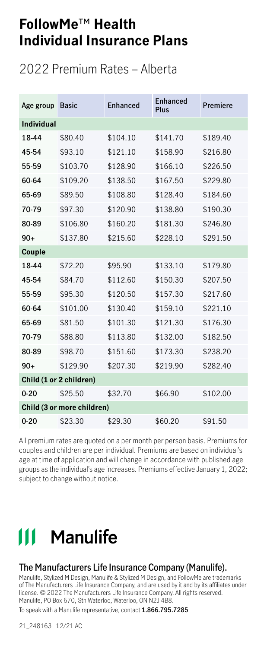### 2022 Premium Rates – Alberta

| Age group         | <b>Basic</b>               | Enhanced | Enhanced<br>Plus | Premiere |
|-------------------|----------------------------|----------|------------------|----------|
| <b>Individual</b> |                            |          |                  |          |
| 18-44             | \$80.40                    | \$104.10 | \$141.70         | \$189.40 |
| 45-54             | \$93.10                    | \$121.10 | \$158.90         | \$216.80 |
| 55-59             | \$103.70                   | \$128.90 | \$166.10         | \$226.50 |
| 60-64             | \$109.20                   | \$138.50 | \$167.50         | \$229.80 |
| 65-69             | \$89.50                    | \$108.80 | \$128.40         | \$184.60 |
| 70-79             | \$97.30                    | \$120.90 | \$138.80         | \$190.30 |
| 80-89             | \$106.80                   | \$160.20 | \$181.30         | \$246.80 |
| $90+$             | \$137.80                   | \$215.60 | \$228.10         | \$291.50 |
| Couple            |                            |          |                  |          |
| 18-44             | \$72.20                    | \$95.90  | \$133.10         | \$179.80 |
| 45-54             | \$84.70                    | \$112.60 | \$150.30         | \$207.50 |
| 55-59             | \$95.30                    | \$120.50 | \$157.30         | \$217.60 |
| 60-64             | \$101.00                   | \$130.40 | \$159.10         | \$221.10 |
| 65-69             | \$81.50                    | \$101.30 | \$121.30         | \$176.30 |
| 70-79             | \$88.80                    | \$113.80 | \$132.00         | \$182.50 |
| 80-89             | \$98.70                    | \$151.60 | \$173.30         | \$238.20 |
| $90+$             | \$129.90                   | \$207.30 | \$219.90         | \$282.40 |
|                   | Child (1 or 2 children)    |          |                  |          |
| $0 - 20$          | \$25.50                    | \$32.70  | \$66.90          | \$102.00 |
|                   | Child (3 or more children) |          |                  |          |
| $0 - 20$          | \$23.30                    | \$29.30  | \$60.20          | \$91.50  |

All premium rates are quoted on a per month per person basis. Premiums for couples and children are per individual. Premiums are based on individual's age at time of application and will change in accordance with published age groups as the individual's age increases. Premiums effective January 1, 2022; subject to change without notice.

# **111 Manulife**

#### **The Manufacturers Life Insurance Company (Manulife).**

Manulife, Stylized M Design, Manulife & Stylized M Design, and FollowMe are trademarks of The Manufacturers Life Insurance Company, and are used by it and by its affiliates under license. © 2022 The Manufacturers Life Insurance Company. All rights reserved. Manulife, PO Box 670, Stn Waterloo, Waterloo, ON N2J 4B8.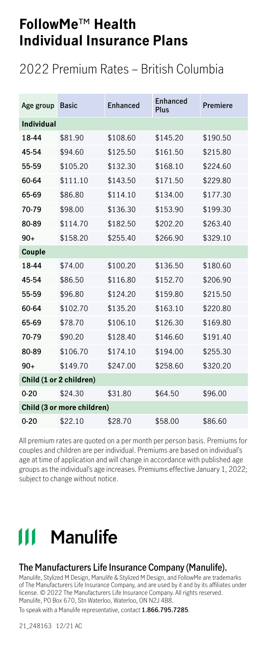### 2022 Premium Rates – British Columbia

| Age group         | <b>Basic</b>               | Enhanced | Enhanced<br>Plus | Premiere |  |  |  |  |
|-------------------|----------------------------|----------|------------------|----------|--|--|--|--|
| <b>Individual</b> |                            |          |                  |          |  |  |  |  |
| 18-44             | \$81.90                    | \$108.60 | \$145.20         | \$190.50 |  |  |  |  |
| 45-54             | \$94.60                    | \$125.50 | \$161.50         | \$215.80 |  |  |  |  |
| 55-59             | \$105.20                   | \$132.30 | \$168.10         | \$224.60 |  |  |  |  |
| 60-64             | \$111.10                   | \$143.50 | \$171.50         | \$229.80 |  |  |  |  |
| 65-69             | \$86.80                    | \$114.10 | \$134.00         | \$177.30 |  |  |  |  |
| 70-79             | \$98.00                    | \$136.30 | \$153.90         | \$199.30 |  |  |  |  |
| 80-89             | \$114.70                   | \$182.50 | \$202.20         | \$263.40 |  |  |  |  |
| $90+$             | \$158.20                   | \$255.40 | \$266.90         | \$329.10 |  |  |  |  |
| Couple            |                            |          |                  |          |  |  |  |  |
| 18-44             | \$74.00                    | \$100.20 | \$136.50         | \$180.60 |  |  |  |  |
| 45-54             | \$86.50                    | \$116.80 | \$152.70         | \$206.90 |  |  |  |  |
| 55-59             | \$96.80                    | \$124.20 | \$159.80         | \$215.50 |  |  |  |  |
| 60-64             | \$102.70                   | \$135.20 | \$163.10         | \$220.80 |  |  |  |  |
| 65-69             | \$78.70                    | \$106.10 | \$126.30         | \$169.80 |  |  |  |  |
| 70-79             | \$90.20                    | \$128.40 | \$146.60         | \$191.40 |  |  |  |  |
| 80-89             | \$106.70                   | \$174.10 | \$194.00         | \$255.30 |  |  |  |  |
| $90+$             | \$149.70                   | \$247.00 | \$258.60         | \$320.20 |  |  |  |  |
|                   | Child (1 or 2 children)    |          |                  |          |  |  |  |  |
| $0 - 20$          | \$24.30                    | \$31.80  | \$64.50          | \$96.00  |  |  |  |  |
|                   | Child (3 or more children) |          |                  |          |  |  |  |  |
| $0 - 20$          | \$22.10                    | \$28.70  | \$58.00          | \$86.60  |  |  |  |  |

All premium rates are quoted on a per month per person basis. Premiums for couples and children are per individual. Premiums are based on individual's age at time of application and will change in accordance with published age groups as the individual's age increases. Premiums effective January 1, 2022; subject to change without notice.

# **111 Manulife**

#### **The Manufacturers Life Insurance Company (Manulife).**

Manulife, Stylized M Design, Manulife & Stylized M Design, and FollowMe are trademarks of The Manufacturers Life Insurance Company, and are used by it and by its affiliates under license. © 2022 The Manufacturers Life Insurance Company. All rights reserved. Manulife, PO Box 670, Stn Waterloo, Waterloo, ON N2J 4B8.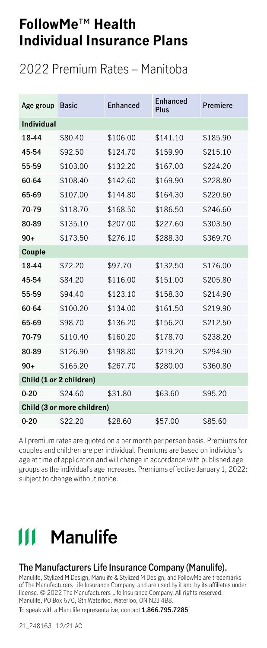### 2022 Premium Rates – Manitoba

| Age group         | <b>Basic</b>               | <b>Fnhanced</b> | Enhanced<br>Plus | Premiere |
|-------------------|----------------------------|-----------------|------------------|----------|
| <b>Individual</b> |                            |                 |                  |          |
| 18-44             | \$80.40                    | \$106.00        | \$141.10         | \$185.90 |
| 45-54             | \$92.50                    | \$124.70        | \$159.90         | \$215.10 |
| 55-59             | \$103.00                   | \$132.20        | \$167.00         | \$224.20 |
| 60-64             | \$108.40                   | \$142.60        | \$169.90         | \$228.80 |
| 65-69             | \$107.00                   | \$144.80        | \$164.30         | \$220.60 |
| 70-79             | \$118.70                   | \$168.50        | \$186.50         | \$246.60 |
| 80-89             | \$135.10                   | \$207.00        | \$227.60         | \$303.50 |
| $90+$             | \$173.50                   | \$276.10        | \$288.30         | \$369.70 |
| Couple            |                            |                 |                  |          |
| 18-44             | \$72.20                    | \$97.70         | \$132.50         | \$176.00 |
| 45-54             | \$84.20                    | \$116.00        | \$151.00         | \$205.80 |
| 55-59             | \$94.40                    | \$123.10        | \$158.30         | \$214.90 |
| 60-64             | \$100.20                   | \$134.00        | \$161.50         | \$219.90 |
| 65-69             | \$98.70                    | \$136.20        | \$156.20         | \$212.50 |
| 70-79             | \$110.40                   | \$160.20        | \$178.70         | \$238.20 |
| 80-89             | \$126.90                   | \$198.80        | \$219.20         | \$294.90 |
| $90+$             | \$165.20                   | \$267.70        | \$280.00         | \$360.80 |
|                   | Child (1 or 2 children)    |                 |                  |          |
| $0 - 20$          | \$24.60                    | \$31.80         | \$63.60          | \$95.20  |
|                   | Child (3 or more children) |                 |                  |          |
| $0 - 20$          | \$22.20                    | \$28.60         | \$57.00          | \$85.60  |

All premium rates are quoted on a per month per person basis. Premiums for couples and children are per individual. Premiums are based on individual's age at time of application and will change in accordance with published age groups as the individual's age increases. Premiums effective January 1, 2022; subject to change without notice.

# **111 Manulife**

#### **The Manufacturers Life Insurance Company (Manulife).**

Manulife, Stylized M Design, Manulife & Stylized M Design, and FollowMe are trademarks of The Manufacturers Life Insurance Company, and are used by it and by its affiliates under license. © 2022 The Manufacturers Life Insurance Company. All rights reserved. Manulife, PO Box 670, Stn Waterloo, Waterloo, ON N2J 4B8.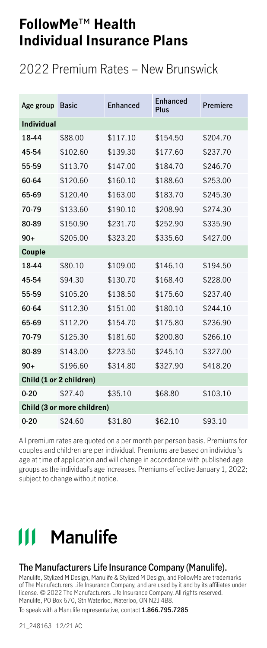### 2022 Premium Rates – New Brunswick

| Age group         | <b>Basic</b>               | Enhanced | Enhanced<br>Plus | Premiere |
|-------------------|----------------------------|----------|------------------|----------|
| <b>Individual</b> |                            |          |                  |          |
| 18-44             | \$88.00                    | \$117.10 | \$154.50         | \$204.70 |
| 45-54             | \$102.60                   | \$139.30 | \$177.60         | \$237.70 |
| 55-59             | \$113.70                   | \$147.00 | \$184.70         | \$246.70 |
| 60-64             | \$120.60                   | \$160.10 | \$188.60         | \$253.00 |
| 65-69             | \$120.40                   | \$163.00 | \$183.70         | \$245.30 |
| 70-79             | \$133.60                   | \$190.10 | \$208.90         | \$274.30 |
| 80-89             | \$150.90                   | \$231.70 | \$252.90         | \$335.90 |
| $90+$             | \$205.00                   | \$323.20 | \$335.60         | \$427.00 |
| Couple            |                            |          |                  |          |
| 18-44             | \$80.10                    | \$109.00 | \$146.10         | \$194.50 |
| 45-54             | \$94.30                    | \$130.70 | \$168.40         | \$228.00 |
| 55-59             | \$105.20                   | \$138.50 | \$175.60         | \$237.40 |
| 60-64             | \$112.30                   | \$151.00 | \$180.10         | \$244.10 |
| 65-69             | \$112.20                   | \$154.70 | \$175.80         | \$236.90 |
| 70-79             | \$125.30                   | \$181.60 | \$200.80         | \$266.10 |
| 80-89             | \$143.00                   | \$223.50 | \$245.10         | \$327.00 |
| $90+$             | \$196.60                   | \$314.80 | \$327.90         | \$418.20 |
|                   | Child (1 or 2 children)    |          |                  |          |
| $0 - 20$          | \$27.40                    | \$35.10  | \$68.80          | \$103.10 |
|                   | Child (3 or more children) |          |                  |          |
| $0 - 20$          | \$24.60                    | \$31.80  | \$62.10          | \$93.10  |

All premium rates are quoted on a per month per person basis. Premiums for couples and children are per individual. Premiums are based on individual's age at time of application and will change in accordance with published age groups as the individual's age increases. Premiums effective January 1, 2022; subject to change without notice.

# **111 Manulife**

#### **The Manufacturers Life Insurance Company (Manulife).**

Manulife, Stylized M Design, Manulife & Stylized M Design, and FollowMe are trademarks of The Manufacturers Life Insurance Company, and are used by it and by its affiliates under license. © 2022 The Manufacturers Life Insurance Company. All rights reserved. Manulife, PO Box 670, Stn Waterloo, Waterloo, ON N2J 4B8.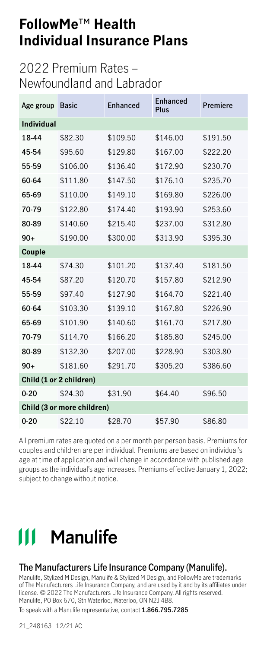### 2022 Premium Rates – Newfoundland and Labrador

| Age group               | <b>Basic</b>               | <b>Fnhanced</b> | <b>Enhanced</b><br>Plus | Premiere |  |
|-------------------------|----------------------------|-----------------|-------------------------|----------|--|
| <b>Individual</b>       |                            |                 |                         |          |  |
| 18-44                   | \$82.30                    | \$109.50        | \$146.00                | \$191.50 |  |
| 45-54                   | \$95.60                    | \$129.80        | \$167.00                | \$222.20 |  |
| 55-59                   | \$106.00                   | \$136.40        | \$172.90                | \$230.70 |  |
| 60-64                   | \$111.80                   | \$147.50        | \$176.10                | \$235.70 |  |
| 65-69                   | \$110.00                   | \$149.10        | \$169.80                | \$226.00 |  |
| 70-79                   | \$122.80                   | \$174.40        | \$193.90                | \$253.60 |  |
| 80-89                   | \$140.60                   | \$215.40        | \$237.00                | \$312.80 |  |
| $90+$                   | \$190.00                   | \$300.00        | \$313.90                | \$395.30 |  |
| Couple                  |                            |                 |                         |          |  |
| 18-44                   | \$74.30                    | \$101.20        | \$137.40                | \$181.50 |  |
| 45-54                   | \$87.20                    | \$120.70        | \$157.80                | \$212.90 |  |
| 55-59                   | \$97.40                    | \$127.90        | \$164.70                | \$221.40 |  |
| 60-64                   | \$103.30                   | \$139.10        | \$167.80                | \$226.90 |  |
| 65-69                   | \$101.90                   | \$140.60        | \$161.70                | \$217.80 |  |
| 70-79                   | \$114.70                   | \$166.20        | \$185.80                | \$245.00 |  |
| 80-89                   | \$132.30                   | \$207.00        | \$228.90                | \$303.80 |  |
| $90+$                   | \$181.60                   | \$291.70        | \$305.20                | \$386.60 |  |
| Child (1 or 2 children) |                            |                 |                         |          |  |
| $0 - 20$                | \$24.30                    | \$31.90         | \$64.40                 | \$96.50  |  |
|                         | Child (3 or more children) |                 |                         |          |  |
| $0 - 20$                | \$22.10                    | \$28.70         | \$57.90                 | \$86.80  |  |

All premium rates are quoted on a per month per person basis. Premiums for couples and children are per individual. Premiums are based on individual's age at time of application and will change in accordance with published age groups as the individual's age increases. Premiums effective January 1, 2022; subject to change without notice.

# 111 Manulife

#### **The Manufacturers Life Insurance Company (Manulife).**

Manulife, Stylized M Design, Manulife & Stylized M Design, and FollowMe are trademarks of The Manufacturers Life Insurance Company, and are used by it and by its affiliates under license. © 2022 The Manufacturers Life Insurance Company. All rights reserved. Manulife, PO Box 670, Stn Waterloo, Waterloo, ON N2J 4B8.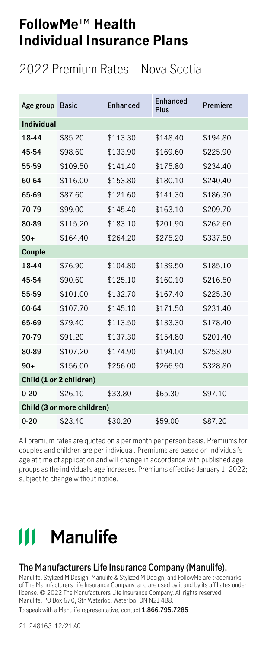### 2022 Premium Rates – Nova Scotia

| Age group         | <b>Basic</b>               | <b>Fnhanced</b> | <b>Fnhanced</b><br>Plus | Premiere |
|-------------------|----------------------------|-----------------|-------------------------|----------|
| <b>Individual</b> |                            |                 |                         |          |
| 18-44             | \$85.20                    | \$113.30        | \$148.40                | \$194.80 |
| 45-54             | \$98.60                    | \$133.90        | \$169.60                | \$225.90 |
| 55-59             | \$109.50                   | \$141.40        | \$175.80                | \$234.40 |
| 60-64             | \$116.00                   | \$153.80        | \$180.10                | \$240.40 |
| 65-69             | \$87.60                    | \$121.60        | \$141.30                | \$186.30 |
| 70-79             | \$99.00                    | \$145.40        | \$163.10                | \$209.70 |
| 80-89             | \$115.20                   | \$183.10        | \$201.90                | \$262.60 |
| $90+$             | \$164.40                   | \$264.20        | \$275.20                | \$337.50 |
| Couple            |                            |                 |                         |          |
| 18-44             | \$76.90                    | \$104.80        | \$139.50                | \$185.10 |
| 45-54             | \$90.60                    | \$125.10        | \$160.10                | \$216.50 |
| 55-59             | \$101.00                   | \$132.70        | \$167.40                | \$225.30 |
| 60-64             | \$107.70                   | \$145.10        | \$171.50                | \$231.40 |
| 65-69             | \$79.40                    | \$113.50        | \$133.30                | \$178.40 |
| 70-79             | \$91.20                    | \$137.30        | \$154.80                | \$201.40 |
| 80-89             | \$107.20                   | \$174.90        | \$194.00                | \$253.80 |
| $90+$             | \$156.00                   | \$256.00        | \$266.90                | \$328.80 |
|                   | Child (1 or 2 children)    |                 |                         |          |
| $0 - 20$          | \$26.10                    | \$33.80         | \$65.30                 | \$97.10  |
|                   | Child (3 or more children) |                 |                         |          |
| $0 - 20$          | \$23.40                    | \$30.20         | \$59.00                 | \$87.20  |

All premium rates are quoted on a per month per person basis. Premiums for couples and children are per individual. Premiums are based on individual's age at time of application and will change in accordance with published age groups as the individual's age increases. Premiums effective January 1, 2022; subject to change without notice.

# **111 Manulife**

#### **The Manufacturers Life Insurance Company (Manulife).**

Manulife, Stylized M Design, Manulife & Stylized M Design, and FollowMe are trademarks of The Manufacturers Life Insurance Company, and are used by it and by its affiliates under license. © 2022 The Manufacturers Life Insurance Company. All rights reserved. Manulife, PO Box 670, Stn Waterloo, Waterloo, ON N2J 4B8.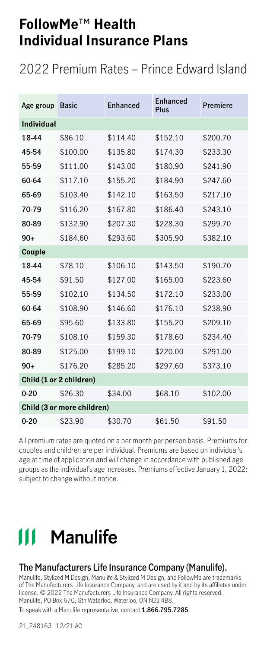### 2022 Premium Rates – Prince Edward Island

| Age group         | <b>Basic</b>               | <b>Fnhanced</b> | Enhanced<br>Plus | Premiere |
|-------------------|----------------------------|-----------------|------------------|----------|
| <b>Individual</b> |                            |                 |                  |          |
| 18-44             | \$86.10                    | \$114.40        | \$152.10         | \$200.70 |
| 45-54             | \$100.00                   | \$135.80        | \$174.30         | \$233.30 |
| 55-59             | \$111.00                   | \$143.00        | \$180.90         | \$241.90 |
| 60-64             | \$117.10                   | \$155.20        | \$184.90         | \$247.60 |
| 65-69             | \$103.40                   | \$142.10        | \$163.50         | \$217.10 |
| 70-79             | \$116.20                   | \$167.80        | \$186.40         | \$243.10 |
| 80-89             | \$132.90                   | \$207.30        | \$228.30         | \$299.70 |
| $90+$             | \$184.60                   | \$293.60        | \$305.90         | \$382.10 |
| Couple            |                            |                 |                  |          |
| 18-44             | \$78.10                    | \$106.10        | \$143.50         | \$190.70 |
| 45-54             | \$91.50                    | \$127.00        | \$165.00         | \$223.60 |
| 55-59             | \$102.10                   | \$134.50        | \$172.10         | \$233.00 |
| 60-64             | \$108.90                   | \$146.60        | \$176.10         | \$238.90 |
| 65-69             | \$95.60                    | \$133.80        | \$155.20         | \$209.10 |
| 70-79             | \$108.10                   | \$159.30        | \$178.60         | \$234.40 |
| 80-89             | \$125.00                   | \$199.10        | \$220.00         | \$291.00 |
| $90+$             | \$176.20                   | \$285.20        | \$297.60         | \$373.10 |
|                   | Child (1 or 2 children)    |                 |                  |          |
| $0 - 20$          | \$26.30                    | \$34.00         | \$68.10          | \$102.00 |
|                   | Child (3 or more children) |                 |                  |          |
| $0 - 20$          | \$23.90                    | \$30.70         | \$61.50          | \$91.50  |

All premium rates are quoted on a per month per person basis. Premiums for couples and children are per individual. Premiums are based on individual's age at time of application and will change in accordance with published age groups as the individual's age increases. Premiums effective January 1, 2022; subject to change without notice.

# **111 Manulife**

#### **The Manufacturers Life Insurance Company (Manulife).**

Manulife, Stylized M Design, Manulife & Stylized M Design, and FollowMe are trademarks of The Manufacturers Life Insurance Company, and are used by it and by its affiliates under license. © 2022 The Manufacturers Life Insurance Company. All rights reserved. Manulife, PO Box 670, Stn Waterloo, Waterloo, ON N2J 4B8.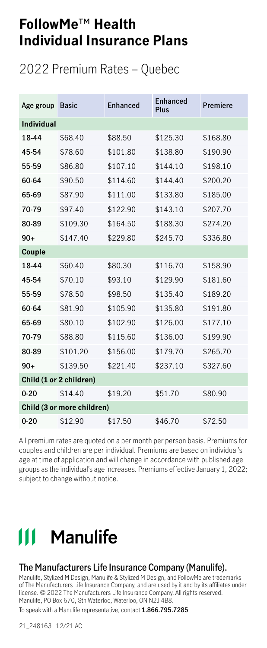### 2022 Premium Rates – Quebec

| Age group         | <b>Basic</b>               | <b>Fnhanced</b> | Enhanced<br>Plus | Premiere |
|-------------------|----------------------------|-----------------|------------------|----------|
| <b>Individual</b> |                            |                 |                  |          |
| 18-44             | \$68.40                    | \$88.50         | \$125.30         | \$168.80 |
| 45-54             | \$78.60                    | \$101.80        | \$138.80         | \$190.90 |
| 55-59             | \$86.80                    | \$107.10        | \$144.10         | \$198.10 |
| 60-64             | \$90.50                    | \$114.60        | \$144.40         | \$200.20 |
| 65-69             | \$87.90                    | \$111.00        | \$133.80         | \$185.00 |
| 70-79             | \$97.40                    | \$122.90        | \$143.10         | \$207.70 |
| 80-89             | \$109.30                   | \$164.50        | \$188.30         | \$274.20 |
| $90+$             | \$147.40                   | \$229.80        | \$245.70         | \$336.80 |
| Couple            |                            |                 |                  |          |
| 18-44             | \$60.40                    | \$80.30         | \$116.70         | \$158.90 |
| 45-54             | \$70.10                    | \$93.10         | \$129.90         | \$181.60 |
| 55-59             | \$78.50                    | \$98.50         | \$135.40         | \$189.20 |
| 60-64             | \$81.90                    | \$105.90        | \$135.80         | \$191.80 |
| 65-69             | \$80.10                    | \$102.90        | \$126.00         | \$177.10 |
| 70-79             | \$88.80                    | \$115.60        | \$136.00         | \$199.90 |
| 80-89             | \$101.20                   | \$156.00        | \$179.70         | \$265.70 |
| $90+$             | \$139.50                   | \$221.40        | \$237.10         | \$327.60 |
|                   | Child (1 or 2 children)    |                 |                  |          |
| $0 - 20$          | \$14.40                    | \$19.20         | \$51.70          | \$80.90  |
|                   | Child (3 or more children) |                 |                  |          |
| $0 - 20$          | \$12.90                    | \$17.50         | \$46.70          | \$72.50  |

All premium rates are quoted on a per month per person basis. Premiums for couples and children are per individual. Premiums are based on individual's age at time of application and will change in accordance with published age groups as the individual's age increases. Premiums effective January 1, 2022; subject to change without notice.

# **111 Manulife**

#### **The Manufacturers Life Insurance Company (Manulife).**

Manulife, Stylized M Design, Manulife & Stylized M Design, and FollowMe are trademarks of The Manufacturers Life Insurance Company, and are used by it and by its affiliates under license. © 2022 The Manufacturers Life Insurance Company. All rights reserved. Manulife, PO Box 670, Stn Waterloo, Waterloo, ON N2J 4B8.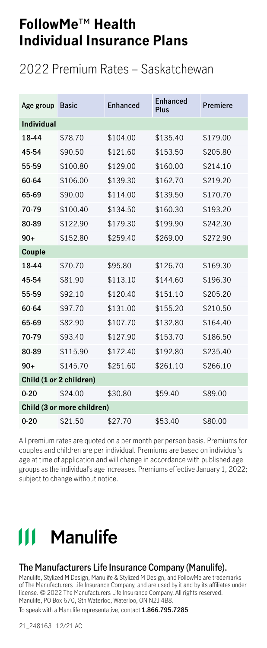### 2022 Premium Rates – Saskatchewan

| Age group         | <b>Basic</b>               | <b>Fnhanced</b> | Enhanced<br>Plus | Premiere |
|-------------------|----------------------------|-----------------|------------------|----------|
| <b>Individual</b> |                            |                 |                  |          |
| 18-44             | \$78.70                    | \$104.00        | \$135.40         | \$179.00 |
| 45-54             | \$90.50                    | \$121.60        | \$153.50         | \$205.80 |
| 55-59             | \$100.80                   | \$129.00        | \$160.00         | \$214.10 |
| 60-64             | \$106.00                   | \$139.30        | \$162.70         | \$219.20 |
| 65-69             | \$90.00                    | \$114.00        | \$139.50         | \$170.70 |
| 70-79             | \$100.40                   | \$134.50        | \$160.30         | \$193.20 |
| 80-89             | \$122.90                   | \$179.30        | \$199.90         | \$242.30 |
| $90+$             | \$152.80                   | \$259.40        | \$269.00         | \$272.90 |
| Couple            |                            |                 |                  |          |
| 18-44             | \$70.70                    | \$95.80         | \$126.70         | \$169.30 |
| 45-54             | \$81.90                    | \$113.10        | \$144.60         | \$196.30 |
| 55-59             | \$92.10                    | \$120.40        | \$151.10         | \$205.20 |
| 60-64             | \$97.70                    | \$131.00        | \$155.20         | \$210.50 |
| 65-69             | \$82.90                    | \$107.70        | \$132.80         | \$164.40 |
| 70-79             | \$93.40                    | \$127.90        | \$153.70         | \$186.50 |
| 80-89             | \$115.90                   | \$172.40        | \$192.80         | \$235.40 |
| $90+$             | \$145.70                   | \$251.60        | \$261.10         | \$266.10 |
|                   | Child (1 or 2 children)    |                 |                  |          |
| $0 - 20$          | \$24.00                    | \$30.80         | \$59.40          | \$89.00  |
|                   | Child (3 or more children) |                 |                  |          |
| $0 - 20$          | \$21.50                    | \$27.70         | \$53.40          | \$80.00  |

All premium rates are quoted on a per month per person basis. Premiums for couples and children are per individual. Premiums are based on individual's age at time of application and will change in accordance with published age groups as the individual's age increases. Premiums effective January 1, 2022; subject to change without notice.

# **111 Manulife**

#### **The Manufacturers Life Insurance Company (Manulife).**

Manulife, Stylized M Design, Manulife & Stylized M Design, and FollowMe are trademarks of The Manufacturers Life Insurance Company, and are used by it and by its affiliates under license. © 2022 The Manufacturers Life Insurance Company. All rights reserved. Manulife, PO Box 670, Stn Waterloo, Waterloo, ON N2J 4B8.